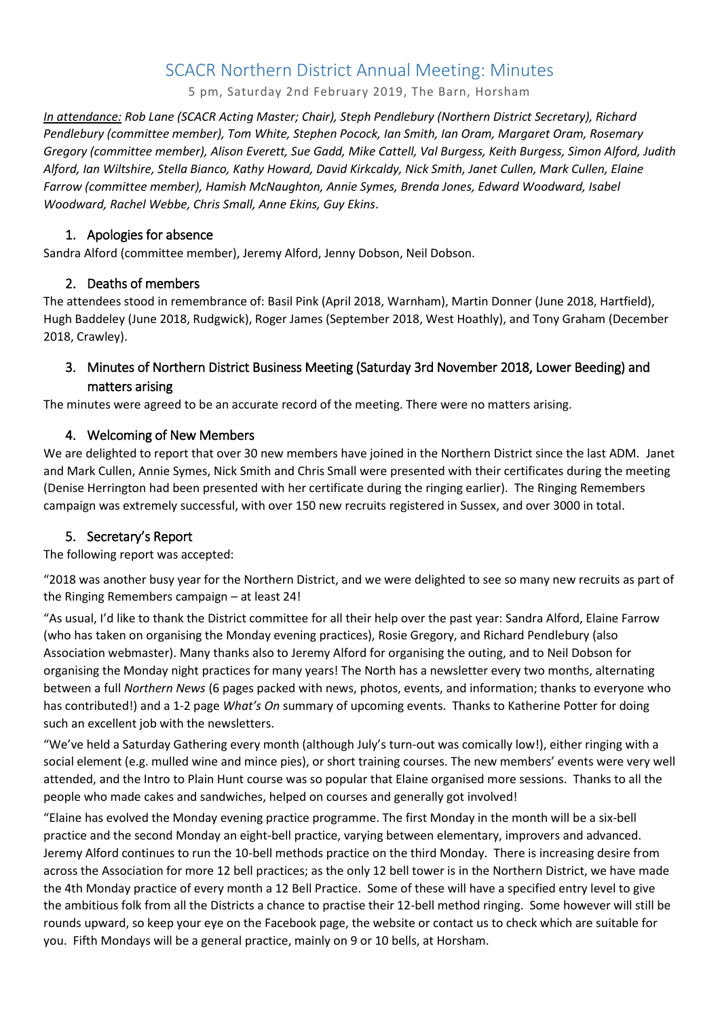# SCACR Northern District Annual Meeting: Minutes

5 pm, Saturday 2nd February 2019, The Barn, Horsham

*In attendance: Rob Lane (SCACR Acting Master; Chair), Steph Pendlebury (Northern District Secretary), Richard Pendlebury (committee member), Tom White, Stephen Pocock, Ian Smith, Ian Oram, Margaret Oram, Rosemary Gregory (committee member), Alison Everett, Sue Gadd, Mike Cattell, Val Burgess, Keith Burgess, Simon Alford, Judith Alford, Ian Wiltshire, Stella Bianco, Kathy Howard, David Kirkcaldy, Nick Smith, Janet Cullen, Mark Cullen, Elaine Farrow (committee member), Hamish McNaughton, Annie Symes, Brenda Jones, Edward Woodward, Isabel Woodward, Rachel Webbe, Chris Small, Anne Ekins, Guy Ekins*.

#### 1. Apologies for absence

Sandra Alford (committee member), Jeremy Alford, Jenny Dobson, Neil Dobson.

#### 2. Deaths of members

The attendees stood in remembrance of: Basil Pink (April 2018, Warnham), Martin Donner (June 2018, Hartfield), Hugh Baddeley (June 2018, Rudgwick), Roger James (September 2018, West Hoathly), and Tony Graham (December 2018, Crawley).

## 3. Minutes of Northern District Business Meeting (Saturday 3rd November 2018, Lower Beeding) and matters arising

The minutes were agreed to be an accurate record of the meeting. There were no matters arising.

### 4. Welcoming of New Members

We are delighted to report that over 30 new members have joined in the Northern District since the last ADM. Janet and Mark Cullen, Annie Symes, Nick Smith and Chris Small were presented with their certificates during the meeting (Denise Herrington had been presented with her certificate during the ringing earlier). The Ringing Remembers campaign was extremely successful, with over 150 new recruits registered in Sussex, and over 3000 in total.

#### 5. Secretary's Report

The following report was accepted:

"2018 was another busy year for the Northern District, and we were delighted to see so many new recruits as part of the Ringing Remembers campaign – at least 24!

"As usual, I'd like to thank the District committee for all their help over the past year: Sandra Alford, Elaine Farrow (who has taken on organising the Monday evening practices), Rosie Gregory, and Richard Pendlebury (also Association webmaster). Many thanks also to Jeremy Alford for organising the outing, and to Neil Dobson for organising the Monday night practices for many years! The North has a newsletter every two months, alternating between a full *Northern News* (6 pages packed with news, photos, events, and information; thanks to everyone who has contributed!) and a 1-2 page *What's On* summary of upcoming events. Thanks to Katherine Potter for doing such an excellent job with the newsletters.

"We've held a Saturday Gathering every month (although July's turn-out was comically low!), either ringing with a social element (e.g. mulled wine and mince pies), or short training courses. The new members' events were very well attended, and the Intro to Plain Hunt course was so popular that Elaine organised more sessions. Thanks to all the people who made cakes and sandwiches, helped on courses and generally got involved!

"Elaine has evolved the Monday evening practice programme. The first Monday in the month will be a six-bell practice and the second Monday an eight-bell practice, varying between elementary, improvers and advanced. Jeremy Alford continues to run the 10-bell methods practice on the third Monday. There is increasing desire from across the Association for more 12 bell practices; as the only 12 bell tower is in the Northern District, we have made the 4th Monday practice of every month a 12 Bell Practice. Some of these will have a specified entry level to give the ambitious folk from all the Districts a chance to practise their 12-bell method ringing. Some however will still be rounds upward, so keep your eye on the Facebook page, the website or contact us to check which are suitable for you. Fifth Mondays will be a general practice, mainly on 9 or 10 bells, at Horsham.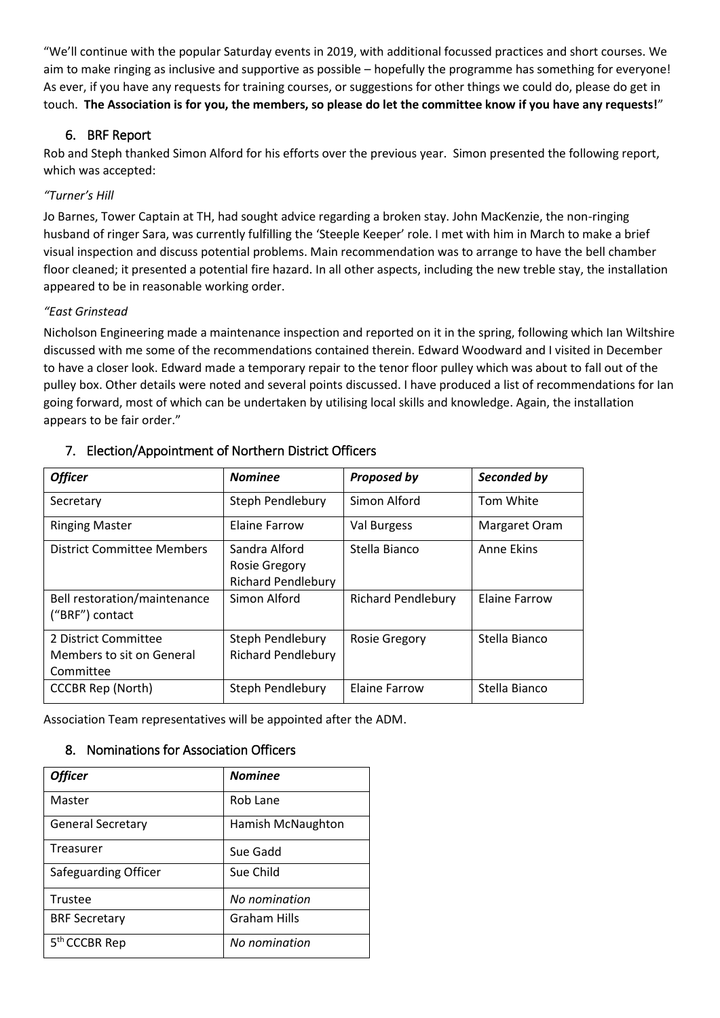"We'll continue with the popular Saturday events in 2019, with additional focussed practices and short courses. We aim to make ringing as inclusive and supportive as possible – hopefully the programme has something for everyone! As ever, if you have any requests for training courses, or suggestions for other things we could do, please do get in touch. **The Association is for you, the members, so please do let the committee know if you have any requests!**"

### 6. BRF Report

Rob and Steph thanked Simon Alford for his efforts over the previous year. Simon presented the following report, which was accepted:

#### *"Turner's Hill*

Jo Barnes, Tower Captain at TH, had sought advice regarding a broken stay. John MacKenzie, the non-ringing husband of ringer Sara, was currently fulfilling the 'Steeple Keeper' role. I met with him in March to make a brief visual inspection and discuss potential problems. Main recommendation was to arrange to have the bell chamber floor cleaned; it presented a potential fire hazard. In all other aspects, including the new treble stay, the installation appeared to be in reasonable working order.

#### *"East Grinstead*

Nicholson Engineering made a maintenance inspection and reported on it in the spring, following which Ian Wiltshire discussed with me some of the recommendations contained therein. Edward Woodward and I visited in December to have a closer look. Edward made a temporary repair to the tenor floor pulley which was about to fall out of the pulley box. Other details were noted and several points discussed. I have produced a list of recommendations for Ian going forward, most of which can be undertaken by utilising local skills and knowledge. Again, the installation appears to be fair order."

| <b>Officer</b>                                                 | <b>Nominee</b>                                                     | <b>Proposed by</b>        | Seconded by          |
|----------------------------------------------------------------|--------------------------------------------------------------------|---------------------------|----------------------|
| Secretary                                                      | Steph Pendlebury                                                   | Simon Alford              | Tom White            |
| <b>Ringing Master</b>                                          | <b>Elaine Farrow</b>                                               | Val Burgess               | Margaret Oram        |
| District Committee Members                                     | Sandra Alford<br><b>Rosie Gregory</b><br><b>Richard Pendlebury</b> | Stella Bianco             | <b>Anne Ekins</b>    |
| Bell restoration/maintenance<br>("BRF") contact                | Simon Alford                                                       | <b>Richard Pendlebury</b> | <b>Elaine Farrow</b> |
| 2 District Committee<br>Members to sit on General<br>Committee | Steph Pendlebury<br><b>Richard Pendlebury</b>                      | <b>Rosie Gregory</b>      | Stella Bianco        |
| <b>CCCBR Rep (North)</b>                                       | Steph Pendlebury                                                   | <b>Elaine Farrow</b>      | Stella Bianco        |

#### 7. Election/Appointment of Northern District Officers

Association Team representatives will be appointed after the ADM.

#### 8. Nominations for Association Officers

| <b>Officer</b>            | <b>Nominee</b>      |  |
|---------------------------|---------------------|--|
| Master                    | Rob Lane            |  |
| <b>General Secretary</b>  | Hamish McNaughton   |  |
| Treasurer                 | Sue Gadd            |  |
| Safeguarding Officer      | Sue Child           |  |
| Trustee                   | No nomination       |  |
| <b>BRF Secretary</b>      | <b>Graham Hills</b> |  |
| 5 <sup>th</sup> CCCBR Rep | No nomination       |  |